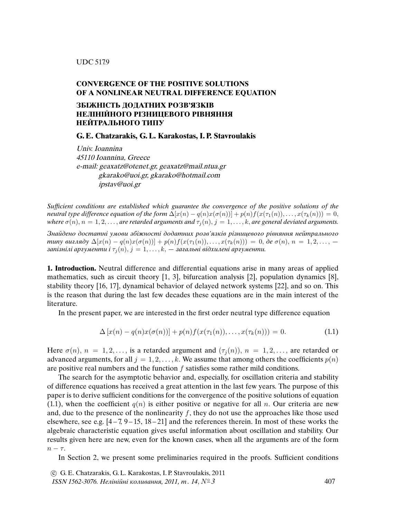## **CONVERGENCE OF THE POSITIVE SOLUTIONS OF A NONLINEAR NEUTRAL DIFFERENCE EQUATION**

## **ЗБIЖНIСТЬ ДОДАТНИХ РОЗВ'ЯЗКIВ НЕЛIНIЙНОГО РIЗНИЦЕВОГО РIВНЯННЯ НЕЙТРАЛЬНОГО ТИПУ**

**G. E. Chatzarakis, G. L. Karakostas, I. P. Stavroulakis**

Univ. Ioannina 45110 Ioannina, Greece e-mail: geaxatz@otenet.gr, geaxatz@mail.ntua.gr gkarako@uoi.gr, gkarako@hotmail.com ipstav@uoi.gr

Suf*fi*cient conditions are established which guarantee the convergence of the positive solutions of the neutral type difference equation of the form  $\Delta[x(n) - q(n)x(\sigma(n))] + p(n)f(x(\tau_1(n)), \ldots, x(\tau_k(n))) = 0$ , where  $\sigma(n)$ ,  $n = 1, 2, \ldots$ , are retarded arguments and  $\tau_i(n)$ ,  $j = 1, \ldots, k$ , are general deviated arguments.

Знайдено достатнi умови збiжностi додатних розв'язкiв рiзницевого рiвняння нейтрального типу вигляду  $\Delta[x(n) - q(n)x(\sigma(n))] + p(n)f(x(\tau_1(n)), \ldots, x(\tau_k(n))) = 0$ , де  $\sigma(n), n = 1, 2, \ldots, -1$ запізнілі аргументи і  $\tau_i(n)$ ,  $j = 1, \ldots, k$ ,  $-$  загальні відхилені аргументи.

**1. Introduction.** Neutral difference and differential equations arise in many areas of applied mathematics, such as circuit theory [1, 3], bifurcation analysis [2], population dynamics [8], stability theory [16, 17], dynamical behavior of delayed network systems [22], and so on. This is the reason that during the last few decades these equations are in the main interest of the literature.

In the present paper, we are interested in the first order neutral type difference equation

$$
\Delta [x(n) - q(n)x(\sigma(n))] + p(n)f(x(\tau_1(n)), \dots, x(\tau_k(n))) = 0.
$$
\n(1.1)

Here  $\sigma(n)$ ,  $n = 1, 2, \ldots$ , is a retarded argument and  $(\tau_i(n))$ ,  $n = 1, 2, \ldots$ , are retarded or advanced arguments, for all  $j = 1, 2, ..., k$ . We assume that among others the coefficients  $p(n)$ are positive real numbers and the function  $f$  satisfies some rather mild conditions.

The search for the asymptotic behavior and, especially, for oscillation criteria and stability of difference equations has received a great attention in the last few years. The purpose of this paper is to derive sufficient conditions for the convergence of the positive solutions of equation (1.1), when the coefficient  $q(n)$  is either positive or negative for all n. Our criteria are new and, due to the presence of the nonlinearity  $f$ , they do not use the approaches like those used elsewhere, see e.g.  $[4-7, 9-15, 18-21]$  and the references therein. In most of these works the algebraic characteristic equation gives useful information about oscillation and stability. Our results given here are new, even for the known cases, when all the arguments are of the form  $n - \tau$ .

In Section 2, we present some preliminaries required in the proofs. Sufficient conditions

 c G. E. Chatzarakis, G. L. Karakostas, I. P. Stavroulakis, 2011 ISSN 1562-3076. Нелінійні коливання, 2011, т. 14,  $N^{\circ}3$  407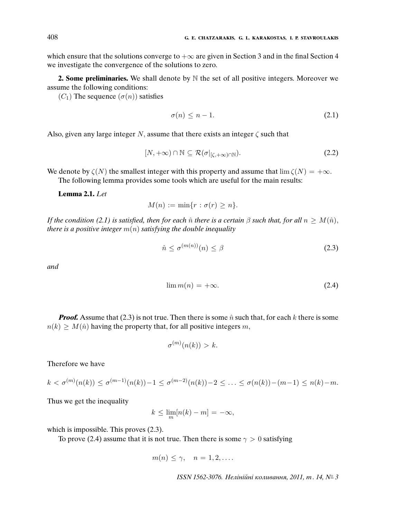which ensure that the solutions converge to  $+\infty$  are given in Section 3 and in the final Section 4 we investigate the convergence of the solutions to zero.

**2. Some preliminaries.** We shall denote by N the set of all positive integers. Moreover we assume the following conditions:

 $(C_1)$  The sequence  $(\sigma(n))$  satisfies

$$
\sigma(n) \le n - 1. \tag{2.1}
$$

Also, given any large integer N, assume that there exists an integer  $\zeta$  such that

$$
[N, +\infty) \cap \mathbb{N} \subseteq \mathcal{R}(\sigma|_{[\zeta, +\infty) \cap \mathbb{N}}). \tag{2.2}
$$

We denote by  $\zeta(N)$  the smallest integer with this property and assume that  $\lim \zeta(N) = +\infty$ .

The following lemma provides some tools which are useful for the main results:

**Lemma 2.1.** Let

 $M(n) := \min\{r : \sigma(r) \geq n\}.$ 

If the condition (2.1) is satisfied, then for each  $\hat{n}$  there is a certain  $\beta$  such that, for all  $n \geq M(\hat{n})$ , there is a positive integer  $m(n)$  satisfying the double inequality

$$
\hat{n} \le \sigma^{(m(n))}(n) \le \beta \tag{2.3}
$$

and

$$
\lim m(n) = +\infty. \tag{2.4}
$$

**Proof.** Assume that (2.3) is not true. Then there is some  $\hat{n}$  such that, for each k there is some  $n(k) \geq M(\hat{n})$  having the property that, for all positive integers m,

$$
\sigma^{(m)}(n(k)) > k.
$$

Therefore we have

$$
k < \sigma^{(m)}(n(k)) \le \sigma^{(m-1)}(n(k)) - 1 \le \sigma^{(m-2)}(n(k)) - 2 \le \ldots \le \sigma(n(k)) - (m-1) \le n(k) - m.
$$

Thus we get the inequality

$$
k \le \lim_{m} [n(k) - m] = -\infty,
$$

which is impossible. This proves  $(2.3)$ .

To prove (2.4) assume that it is not true. Then there is some  $\gamma > 0$  satisfying

$$
m(n) \leq \gamma, \quad n = 1, 2, \dots
$$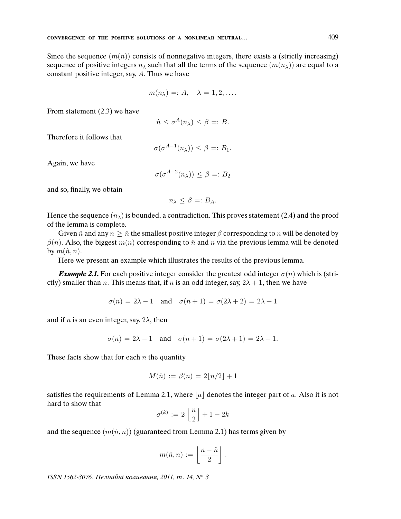Since the sequence  $(m(n))$  consists of nonnegative integers, there exists a (strictly increasing) sequence of positive integers  $n<sub>\lambda</sub>$  such that all the terms of the sequence  $(m(n<sub>\lambda</sub>))$  are equal to a constant positive integer, say, A. Thus we have

$$
m(n_{\lambda}) =: A, \quad \lambda = 1, 2, \dots
$$

From statement (2.3) we have

$$
\hat{n} \le \sigma^A(n_\lambda) \le \beta =: B.
$$

Therefore it follows that

$$
\sigma(\sigma^{A-1}(n_{\lambda})) \leq \beta =: B_1.
$$

Again, we have

$$
\sigma(\sigma^{A-2}(n_{\lambda})) \leq \beta =: B_2
$$

and so, finally, we obtain

$$
n_{\lambda} \leq \beta =: B_A.
$$

Hence the sequence  $(n_{\lambda})$  is bounded, a contradiction. This proves statement (2.4) and the proof of the lemma is complete.

Given  $\hat{n}$  and any  $n \geq \hat{n}$  the smallest positive integer  $\beta$  corresponding to n will be denoted by  $\beta(n)$ . Also, the biggest  $m(n)$  corresponding to  $\hat{n}$  and n via the previous lemma will be denoted by  $m(\hat{n}, n)$ .

Here we present an example which illustrates the results of the previous lemma.

**Example 2.1.** For each positive integer consider the greatest odd integer  $\sigma(n)$  which is (strictly) smaller than *n*. This means that, if *n* is an odd integer, say,  $2\lambda + 1$ , then we have

$$
\sigma(n) = 2\lambda - 1 \quad \text{and} \quad \sigma(n+1) = \sigma(2\lambda + 2) = 2\lambda + 1
$$

and if *n* is an even integer, say,  $2\lambda$ , then

$$
\sigma(n) = 2\lambda - 1 \quad \text{and} \quad \sigma(n+1) = \sigma(2\lambda + 1) = 2\lambda - 1.
$$

These facts show that for each  $n$  the quantity

$$
M(\hat{n}) := \beta(n) = 2|n/2| + 1
$$

satisfies the requirements of Lemma 2.1, where  $|a|$  denotes the integer part of a. Also it is not hard to show that

$$
\sigma^{(k)} := 2\left\lfloor\frac{n}{2}\right\rfloor + 1 - 2k
$$

and the sequence  $(m(\hat{n}, n))$  (guaranteed from Lemma 2.1) has terms given by

$$
m(\hat{n},n):=\left\lfloor\frac{n-\hat{n}}{2}\right\rfloor.
$$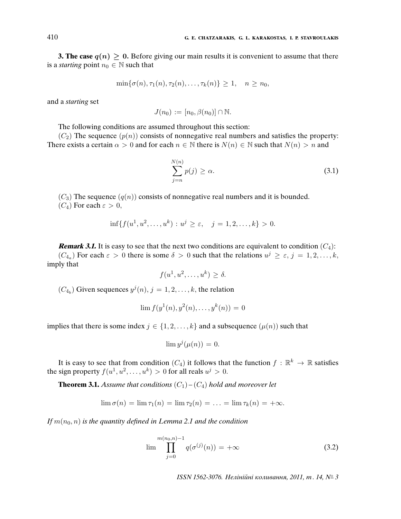**3. The case**  $q(n) > 0$ . Before giving our main results it is convenient to assume that there is a *starting* point  $n_0 \in \mathbb{N}$  such that

$$
\min\{\sigma(n), \tau_1(n), \tau_2(n), \ldots, \tau_k(n)\} \ge 1, \quad n \ge n_0,
$$

and a starting set

$$
J(n_0) := [n_0, \beta(n_0)] \cap \mathbb{N}.
$$

The following conditions are assumed throughout this section:

 $(C_2)$  The sequence  $(p(n))$  consists of nonnegative real numbers and satisfies the property: There exists a certain  $\alpha > 0$  and for each  $n \in \mathbb{N}$  there is  $N(n) \in \mathbb{N}$  such that  $N(n) > n$  and

$$
\sum_{j=n}^{N(n)} p(j) \ge \alpha.
$$
\n(3.1)

 $(C_3)$  The sequence  $(q(n))$  consists of nonnegative real numbers and it is bounded.

 $(C_4)$  For each  $\varepsilon > 0$ ,

$$
\inf\{f(u^1, u^2, \dots, u^k) : u^j \ge \varepsilon, \quad j = 1, 2, \dots, k\} > 0.
$$

**Remark 3.1.** It is easy to see that the next two conditions are equivalent to condition  $(C_4)$ :  $(C_{4a})$  For each  $\varepsilon > 0$  there is some  $\delta > 0$  such that the relations  $u^j \geq \varepsilon$ ,  $j = 1, 2, ..., k$ , imply that

$$
f(u^1, u^2, \dots, u^k) \ge \delta.
$$

 $(C_{4_b})$  Given sequences  $y^{j}(n)$ ,  $j = 1, 2, ..., k$ , the relation

$$
\lim f(y^{1}(n), y^{2}(n), \dots, y^{k}(n)) = 0
$$

implies that there is some index  $j \in \{1, 2, \ldots, k\}$  and a subsequence  $(\mu(n))$  such that

$$
\lim y^j(\mu(n)) = 0.
$$

It is easy to see that from condition  $(C_4)$  it follows that the function  $f: \mathbb{R}^k \to \mathbb{R}$  satisfies the sign property  $f(u^1, u^2, \dots, u^k) > 0$  for all reals  $u^j > 0$ .

**Theorem 3.1.** Assume that conditions  $(C_1) - (C_4)$  hold and moreover let

$$
\lim \sigma(n) = \lim \tau_1(n) = \lim \tau_2(n) = \ldots = \lim \tau_k(n) = +\infty.
$$

If  $m(n_0, n)$  is the quantity defined in Lemma 2.1 and the condition

$$
\lim_{j=0}^{m(n_0,n)-1} q(\sigma^{(j)}(n)) = +\infty
$$
\n(3.2)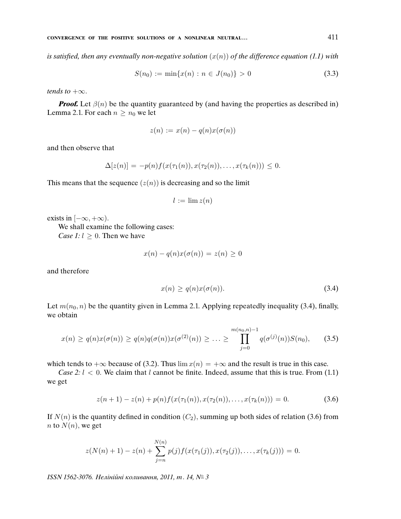is satisfied, then any eventually non-negative solution  $(x(n))$  of the difference equation (1.1) with

$$
S(n_0) := \min\{x(n) : n \in J(n_0)\} > 0 \tag{3.3}
$$

tends to  $+\infty$ .

**Proof.** Let  $\beta(n)$  be the quantity guaranteed by (and having the properties as described in) Lemma 2.1. For each  $n > n_0$  we let

$$
z(n) := x(n) - q(n)x(\sigma(n))
$$

and then observe that

$$
\Delta[z(n)] = -p(n)f(x(\tau_1(n)), x(\tau_2(n)), \ldots, x(\tau_k(n))) \leq 0.
$$

This means that the sequence  $(z(n))$  is decreasing and so the limit

$$
l := \lim z(n)
$$

exists in  $[-\infty, +\infty)$ .

We shall examine the following cases: *Case 1:*  $l \geq 0$ . Then we have

$$
x(n) - q(n)x(\sigma(n)) = z(n) \ge 0
$$

and therefore

$$
x(n) \ge q(n)x(\sigma(n)).\tag{3.4}
$$

Let  $m(n_0, n)$  be the quantity given in Lemma 2.1. Applying repeatedly inequality (3.4), finally, we obtain

$$
x(n) \ge q(n)x(\sigma(n)) \ge q(n)q(\sigma(n))x(\sigma^{(2)}(n)) \ge \ldots \ge \prod_{j=0}^{m(n_0,n)-1} q(\sigma^{(j)}(n))S(n_0), \quad (3.5)
$$

which tends to  $+\infty$  because of (3.2). Thus  $\lim x(n) = +\infty$  and the result is true in this case.

Case 2:  $l < 0$ . We claim that l cannot be finite. Indeed, assume that this is true. From (1.1) we get

$$
z(n+1) - z(n) + p(n)f(x(\tau_1(n)), x(\tau_2(n)), \dots, x(\tau_k(n))) = 0.
$$
\n(3.6)

If  $N(n)$  is the quantity defined in condition  $(C_2)$ , summing up both sides of relation (3.6) from n to  $N(n)$ , we get

$$
z(N(n) + 1) - z(n) + \sum_{j=n}^{N(n)} p(j) f(x(\tau_1(j)), x(\tau_2(j)), \ldots, x(\tau_k(j))) = 0.
$$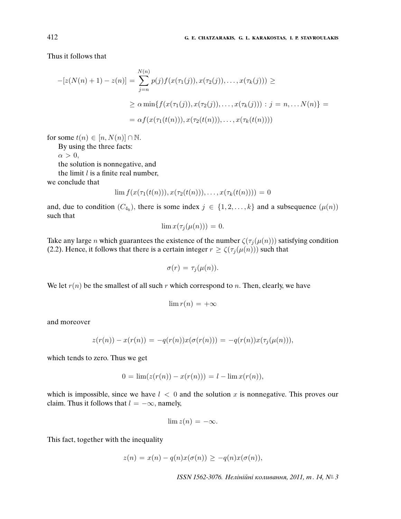Thus it follows that

$$
-[z(N(n) + 1) - z(n)] = \sum_{j=n}^{N(n)} p(j) f(x(\tau_1(j)), x(\tau_2(j)), \dots, x(\tau_k(j))) \ge
$$
  
 
$$
\ge \alpha \min\{f(x(\tau_1(j)), x(\tau_2(j)), \dots, x(\tau_k(j))) : j = n, \dots N(n)\} =
$$
  
 
$$
= \alpha f(x(\tau_1(t(n))), x(\tau_2(t(n))), \dots, x(\tau_k(t(n))))
$$

for some  $t(n) \in [n, N(n)] \cap \mathbb{N}$ .

By using the three facts:

 $\alpha > 0$ ,

the solution is nonnegative, and

the limit  $l$  is a finite real number,

we conclude that

$$
\lim f(x(\tau_1(t(n))), x(\tau_2(t(n))), \ldots, x(\tau_k(t(n)))) = 0
$$

and, due to condition  $(C_{4_b})$ , there is some index  $j \in \{1, 2, ..., k\}$  and a subsequence  $(\mu(n))$ such that

$$
\lim x(\tau_j(\mu(n)))=0.
$$

Take any large *n* which guarantees the existence of the number  $\zeta(\tau_j(\mu(n)))$  satisfying condition (2.2). Hence, it follows that there is a certain integer  $r \ge \zeta(\tau_j(\mu(n)))$  such that

$$
\sigma(r) = \tau_j(\mu(n)).
$$

We let  $r(n)$  be the smallest of all such r which correspond to n. Then, clearly, we have

$$
\lim r(n) = +\infty
$$

and moreover

$$
z(r(n)) - x(r(n)) = -q(r(n))x(\sigma(r(n))) = -q(r(n))x(\tau_j(\mu(n))),
$$

which tends to zero. Thus we get

$$
0 = \lim(z(r(n)) - x(r(n))) = l - \lim x(r(n)),
$$

which is impossible, since we have  $l < 0$  and the solution x is nonnegative. This proves our claim. Thus it follows that  $l = -\infty$ , namely,

$$
\lim z(n) = -\infty.
$$

This fact, together with the inequality

$$
z(n) = x(n) - q(n)x(\sigma(n)) \geq -q(n)x(\sigma(n)),
$$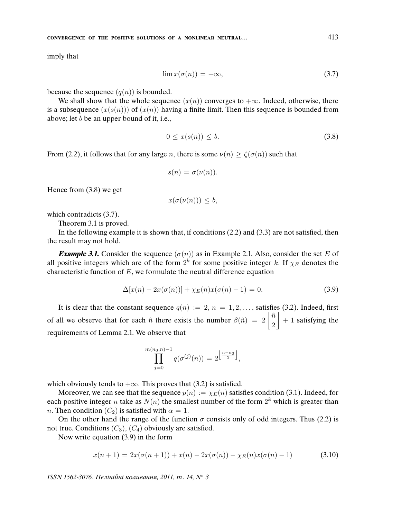imply that

$$
\lim x(\sigma(n)) = +\infty,\tag{3.7}
$$

because the sequence  $(q(n))$  is bounded.

We shall show that the whole sequence  $(x(n))$  converges to  $+\infty$ . Indeed, otherwise, there is a subsequence  $(x(s(n)))$  of  $(x(n))$  having a finite limit. Then this sequence is bounded from above; let  $b$  be an upper bound of it, i.e.,

$$
0 \le x(s(n)) \le b. \tag{3.8}
$$

From (2.2), it follows that for any large n, there is some  $\nu(n) \ge \zeta(\sigma(n))$  such that

$$
s(n) = \sigma(\nu(n)).
$$

Hence from (3.8) we get

$$
x(\sigma(\nu(n))) \le b,
$$

which contradicts (3.7).

Theorem 3.1 is proved.

In the following example it is shown that, if conditions (2.2) and (3.3) are not satisfied, then the result may not hold.

**Example 3.1.** Consider the sequence  $(\sigma(n))$  as in Example 2.1. Also, consider the set E of all positive integers which are of the form  $2^k$  for some positive integer k. If  $\chi_E$  denotes the characteristic function of  $E$ , we formulate the neutral difference equation

$$
\Delta[x(n) - 2x(\sigma(n))] + \chi_E(n)x(\sigma(n) - 1) = 0.
$$
\n(3.9)

It is clear that the constant sequence  $q(n) := 2, n = 1, 2, \ldots$ , satisfies (3.2). Indeed, first of all we observe that for each  $\hat{n}$  there exists the number  $\beta(\hat{n}) = 2 \left| \frac{\hat{n}}{2} \right|$ 2  $+ 1$  satisfying the requirements of Lemma 2.1. We observe that

$$
\prod_{j=0}^{m(n_0,n)-1} q(\sigma^{(j)}(n)) = 2^{\left\lfloor \frac{n-n_0}{2} \right\rfloor},
$$

which obviously tends to  $+\infty$ . This proves that (3.2) is satisfied.

Moreover, we can see that the sequence  $p(n) := \chi_E(n)$  satisfies condition (3.1). Indeed, for each positive integer n take as  $N(n)$  the smallest number of the form  $2^k$  which is greater than *n*. Then condition  $(C_2)$  is satisfied with  $\alpha = 1$ .

On the other hand the range of the function  $\sigma$  consists only of odd integers. Thus (2.2) is not true. Conditions  $(C_3)$ ,  $(C_4)$  obviously are satisfied.

Now write equation (3.9) in the form

$$
x(n+1) = 2x(\sigma(n+1)) + x(n) - 2x(\sigma(n)) - \chi_E(n)x(\sigma(n) - 1)
$$
\n(3.10)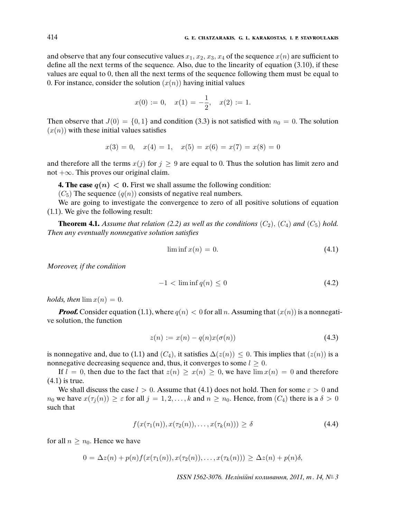and observe that any four consecutive values  $x_1, x_2, x_3, x_4$  of the sequence  $x(n)$  are sufficient to define all the next terms of the sequence. Also, due to the linearity of equation (3.10), if these values are equal to 0, then all the next terms of the sequence following them must be equal to 0. For instance, consider the solution  $(x(n))$  having initial values

$$
x(0) := 0, \quad x(1) = -\frac{1}{2}, \quad x(2) := 1.
$$

Then observe that  $J(0) = \{0, 1\}$  and condition (3.3) is not satisfied with  $n_0 = 0$ . The solution  $(x(n))$  with these initial values satisfies

$$
x(3) = 0, \quad x(4) = 1, \quad x(5) = x(6) = x(7) = x(8) = 0
$$

and therefore all the terms  $x(j)$  for  $j \ge 9$  are equal to 0. Thus the solution has limit zero and not +∞. This proves our original claim.

**4. The case**  $q(n) < 0$ . First we shall assume the following condition:

 $(C_5)$  The sequence  $(q(n))$  consists of negative real numbers.

We are going to investigate the convergence to zero of all positive solutions of equation (1.1). We give the following result:

**Theorem 4.1.** Assume that relation (2.2) as well as the conditions  $(C_2)$ ,  $(C_4)$  and  $(C_5)$  hold. Then any eventually nonnegative solution satis*fi*es

$$
\liminf x(n) = 0. \tag{4.1}
$$

Moreover, if the condition

$$
-1 < \liminf q(n) \le 0 \tag{4.2}
$$

holds, then  $\lim x(n) = 0$ .

**Proof.** Consider equation (1.1), where  $q(n) < 0$  for all n. Assuming that  $(x(n))$  is a nonnegative solution, the function

$$
z(n) := x(n) - q(n)x(\sigma(n))\tag{4.3}
$$

is nonnegative and, due to (1.1) and  $(C_4)$ , it satisfies  $\Delta(z(n)) \leq 0$ . This implies that  $(z(n))$  is a nonnegative decreasing sequence and, thus, it converges to some  $l \geq 0$ .

If  $l = 0$ , then due to the fact that  $z(n) \geq x(n) \geq 0$ , we have  $\lim x(n) = 0$  and therefore (4.1) is true.

We shall discuss the case  $l > 0$ . Assume that (4.1) does not hold. Then for some  $\varepsilon > 0$  and  $n_0$  we have  $x(\tau_i(n)) \geq \varepsilon$  for all  $j = 1, 2, \ldots, k$  and  $n \geq n_0$ . Hence, from  $(C_4)$  there is a  $\delta > 0$ such that

$$
f(x(\tau_1(n)), x(\tau_2(n)), \dots, x(\tau_k(n))) \ge \delta \tag{4.4}
$$

for all  $n \geq n_0$ . Hence we have

$$
0 = \Delta z(n) + p(n)f(x(\tau_1(n)), x(\tau_2(n)), \ldots, x(\tau_k(n))) \geq \Delta z(n) + p(n)\delta,
$$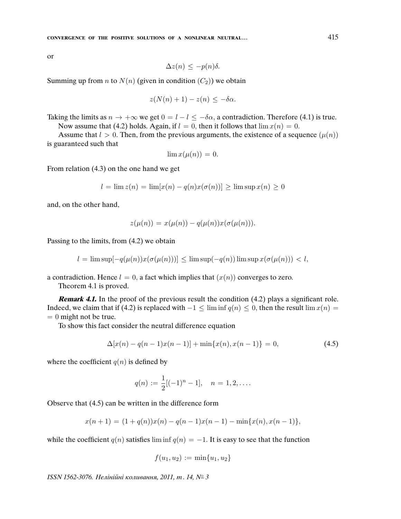or

$$
\Delta z(n) \leq -p(n)\delta.
$$

Summing up from *n* to  $N(n)$  (given in condition  $(C_2)$ ) we obtain

$$
z(N(n) + 1) - z(n) \leq -\delta\alpha.
$$

Taking the limits as  $n \to +\infty$  we get  $0 = l - l \le -\delta \alpha$ , a contradiction. Therefore (4.1) is true. Now assume that (4.2) holds. Again, if  $l = 0$ , then it follows that  $\lim x(n) = 0$ .

Assume that  $l > 0$ . Then, from the previous arguments, the existence of a sequence  $(\mu(n))$ is guaranteed such that

$$
\lim x(\mu(n)) = 0.
$$

From relation (4.3) on the one hand we get

$$
l = \lim z(n) = \lim [x(n) - q(n)x(\sigma(n))] \ge \lim \sup x(n) \ge 0
$$

and, on the other hand,

$$
z(\mu(n)) = x(\mu(n)) - q(\mu(n))x(\sigma(\mu(n))).
$$

Passing to the limits, from (4.2) we obtain

$$
l = \limsup[-q(\mu(n))x(\sigma(\mu(n)))] \le \limsup(-q(n))\limsup x(\sigma(\mu(n))) < l,
$$

a contradiction. Hence  $l = 0$ , a fact which implies that  $(x(n))$  converges to zero.

Theorem 4.1 is proved.

**Remark 4.1.** In the proof of the previous result the condition (4.2) plays a significant role. Indeed, we claim that if (4.2) is replaced with  $-1 \le \liminf q(n) \le 0$ , then the result  $\lim x(n) =$  $= 0$  might not be true.

To show this fact consider the neutral difference equation

$$
\Delta[x(n) - q(n-1)x(n-1)] + \min\{x(n), x(n-1)\} = 0,\tag{4.5}
$$

where the coefficient  $q(n)$  is defined by

$$
q(n) := \frac{1}{2}[(-1)^n - 1], \quad n = 1, 2, \dots
$$

Observe that (4.5) can be written in the difference form

$$
x(n + 1) = (1 + q(n))x(n) - q(n - 1)x(n - 1) - \min\{x(n), x(n - 1)\},\
$$

while the coefficient  $q(n)$  satisfies lim inf  $q(n) = -1$ . It is easy to see that the function

$$
f(u_1, u_2) := \min\{u_1, u_2\}
$$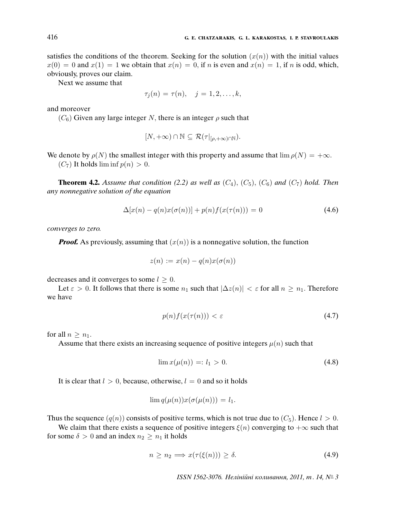satisfies the conditions of the theorem. Seeking for the solution  $(x(n))$  with the initial values  $x(0) = 0$  and  $x(1) = 1$  we obtain that  $x(n) = 0$ , if n is even and  $x(n) = 1$ , if n is odd, which, obviously, proves our claim.

Next we assume that

$$
\tau_j(n) = \tau(n), \quad j = 1, 2, \dots, k,
$$

and moreover

 $(C_6)$  Given any large integer N, there is an integer  $\rho$  such that

$$
[N,+\infty) \cap \mathbb{N} \subseteq \mathcal{R}(\tau|_{[\rho,+\infty)\cap \mathbb{N}}).
$$

We denote by  $\rho(N)$  the smallest integer with this property and assume that  $\lim \rho(N) = +\infty$ .  $(C_7)$  It holds  $\liminf p(n) > 0$ .

**Theorem 4.2.** Assume that condition (2.2) as well as  $(C_4)$ ,  $(C_5)$ ,  $(C_6)$  and  $(C_7)$  hold. Then any nonnegative solution of the equation

$$
\Delta[x(n) - q(n)x(\sigma(n))] + p(n)f(x(\tau(n))) = 0 \tag{4.6}
$$

converges to zero.

**Proof.** As previously, assuming that  $(x(n))$  is a nonnegative solution, the function

$$
z(n) := x(n) - q(n)x(\sigma(n))
$$

decreases and it converges to some  $l \geq 0$ .

Let  $\varepsilon > 0$ . It follows that there is some  $n_1$  such that  $|\Delta z(n)| < \varepsilon$  for all  $n \geq n_1$ . Therefore we have

$$
p(n)f(x(\tau(n))) < \varepsilon \tag{4.7}
$$

for all  $n \geq n_1$ .

Assume that there exists an increasing sequence of positive integers  $\mu(n)$  such that

$$
\lim x(\mu(n)) =: l_1 > 0. \tag{4.8}
$$

It is clear that  $l > 0$ , because, otherwise,  $l = 0$  and so it holds

$$
\lim q(\mu(n))x(\sigma(\mu(n))) = l_1.
$$

Thus the sequence  $(q(n))$  consists of positive terms, which is not true due to  $(C_5)$ . Hence  $l > 0$ .

We claim that there exists a sequence of positive integers  $\xi(n)$  converging to  $+\infty$  such that for some  $\delta > 0$  and an index  $n_2 \geq n_1$  it holds

$$
n \ge n_2 \implies x(\tau(\xi(n))) \ge \delta. \tag{4.9}
$$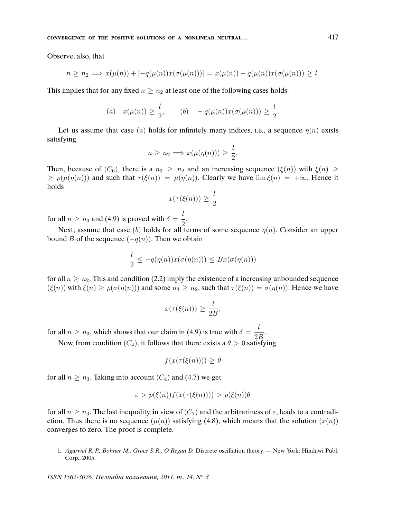Observe, also, that

$$
n \ge n_2 \Longrightarrow x(\mu(n)) + [-q(\mu(n))x(\sigma(\mu(n)))] = x(\mu(n)) - q(\mu(n))x(\sigma(\mu(n))) \ge l.
$$

This implies that for any fixed  $n \geq n_2$  at least one of the following cases holds:

(a) 
$$
x(\mu(n)) \ge \frac{l}{2}
$$
, (b)  $-q(\mu(n))x(\sigma(\mu(n))) \ge \frac{l}{2}$ .

Let us assume that case (a) holds for infinitely many indices, i.e., a sequence  $\eta(n)$  exists satisfying

$$
n \ge n_2 \Longrightarrow x(\mu(\eta(n))) \ge \frac{l}{2}.
$$

Then, because of  $(C_6)$ , there is a  $n_3 \geq n_2$  and an increasing sequence  $(\xi(n))$  with  $\xi(n) \geq$  $\geq \rho(\mu(\eta(n)))$  and such that  $\tau(\xi(n)) = \mu(\eta(n))$ . Clearly we have  $\lim \xi(n) = +\infty$ . Hence it holds

$$
x(\tau(\xi(n))) \ge \frac{l}{2}
$$

for all  $n \ge n_3$  and (4.9) is proved with  $\delta = \frac{l}{2}$  $\frac{1}{2}$ .

Next, assume that case (b) holds for all terms of some sequence  $\eta(n)$ . Consider an upper bound B of the sequence  $(-q(n))$ . Then we obtain

$$
\frac{l}{2} \leq -q(\eta(n))x(\sigma(\eta(n))) \leq Bx(\sigma(\eta(n)))
$$

for all  $n \geq n_2$ . This and condition (2.2) imply the existence of a increasing unbounded sequence  $(\xi(n))$  with  $\xi(n) \ge \rho(\sigma(\eta(n)))$  and some  $n_3 \ge n_2$ , such that  $\tau(\xi(n)) = \sigma(\eta(n))$ . Hence we have

$$
x(\tau(\xi(n))) \geq \frac{l}{2B},
$$

for all  $n \ge n_3$ , which shows that our claim in (4.9) is true with  $\delta = \frac{l}{2}$  $\frac{1}{2B}$ .

Now, from condition  $(C_4)$ , it follows that there exists a  $\theta > 0$  satisfying

$$
f(x(\tau(\xi(n)))) \ge \theta
$$

for all  $n \geq n_3$ . Taking into account  $(C_4)$  and (4.7) we get

$$
\varepsilon > p(\xi(n))f(x(\tau(\xi(n)))) > p(\xi(n))\theta
$$

for all  $n \geq n_3$ . The last inequality, in view of  $(C_7)$  and the arbitrariness of  $\varepsilon$ , leads to a contradiction. Thus there is no sequence  $(\mu(n))$  satisfying (4.8), which means that the solution  $(x(n))$ converges to zero. The proof is complete.

1. Agarwal R. P., Bohner M., Grace S. R., O'Regan D. Discrete oscillation theory. — New York: Hindawi Publ. Corp., 2005.